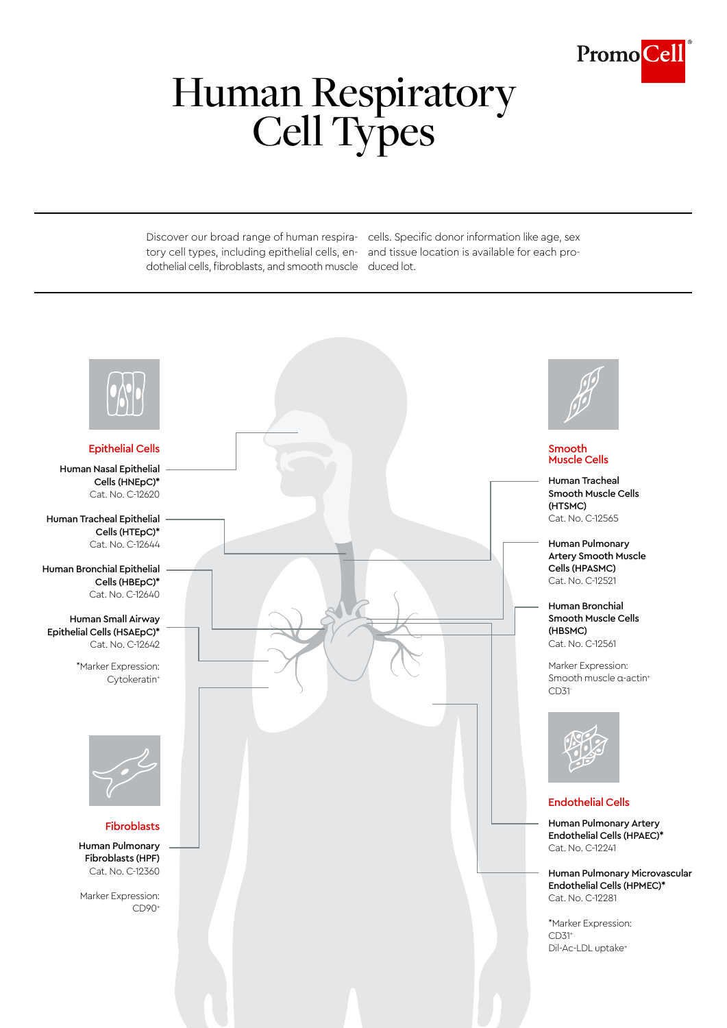

# Human Respiratory<br>Cell Types

tory cell types, including epithelial cells, en-and tissue location is available for each prodothelial cells, fibroblasts, and smooth muscle duced lot.

Discover our broad range of human respira-cells. Specific donor information like age, sex